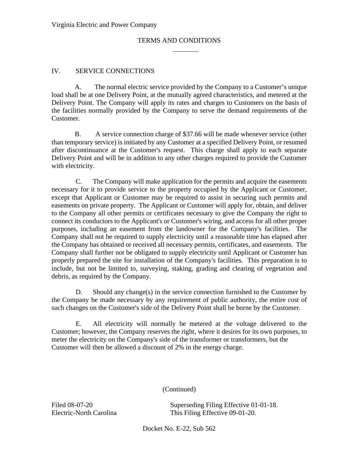## IV. SERVICE CONNECTIONS

A. The normal electric service provided by the Company to a Customer's unique load shall be at one Delivery Point, at the mutually agreed characteristics, and metered at the Delivery Point. The Company will apply its rates and charges to Customers on the basis of the facilities normally provided by the Company to serve the demand requirements of the Customer.

B. A service connection charge of \$37.66 will be made whenever service (other than temporary service) is initiated by any Customer at a specified Delivery Point, or resumed after discontinuance at the Customer's request. This charge shall apply to each separate Delivery Point and will be in addition to any other charges required to provide the Customer with electricity.

C. The Company will make application for the permits and acquire the easements necessary for it to provide service to the property occupied by the Applicant or Customer, except that Applicant or Customer may be required to assist in securing such permits and easements on private property. The Applicant or Customer will apply for, obtain, and deliver to the Company all other permits or certificates necessary to give the Company the right to connect its conductors to the Applicant's or Customer's wiring, and access for all other proper purposes, including an easement from the landowner for the Company's facilities. The Company shall not be required to supply electricity until a reasonable time has elapsed after the Company has obtained or received all necessary permits, certificates, and easements. The Company shall further not be obligated to supply electricity until Applicant or Customer has properly prepared the site for installation of the Company's facilities. This preparation is to include, but not be limited to, surveying, staking, grading and clearing of vegetation and debris, as required by the Company.

D. Should any change(s) in the service connection furnished to the Customer by the Company be made necessary by any requirement of public authority, the entire cost of such changes on the Customer's side of the Delivery Point shall be borne by the Customer.

E. All electricity will normally be metered at the voltage delivered to the Customer; however, the Company reserves the right, where it desires for its own purposes, to meter the electricity on the Company's side of the transformer or transformers, but the Customer will then be allowed a discount of 2% in the energy charge.

(Continued)

Filed 08-07-20 Superseding Filing Effective 01-01-18. Electric-North Carolina This Filing Effective 09-01-20.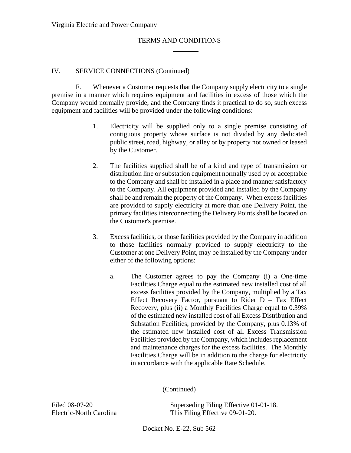#### IV. SERVICE CONNECTIONS (Continued)

F. Whenever a Customer requests that the Company supply electricity to a single premise in a manner which requires equipment and facilities in excess of those which the Company would normally provide, and the Company finds it practical to do so, such excess equipment and facilities will be provided under the following conditions:

- 1. Electricity will be supplied only to a single premise consisting of contiguous property whose surface is not divided by any dedicated public street, road, highway, or alley or by property not owned or leased by the Customer.
- 2. The facilities supplied shall be of a kind and type of transmission or distribution line or substation equipment normally used by or acceptable to the Company and shall be installed in a place and manner satisfactory to the Company. All equipment provided and installed by the Company shall be and remain the property of the Company. When excess facilities are provided to supply electricity at more than one Delivery Point, the primary facilities interconnecting the Delivery Points shall be located on the Customer's premise.
- 3. Excess facilities, or those facilities provided by the Company in addition to those facilities normally provided to supply electricity to the Customer at one Delivery Point, may be installed by the Company under either of the following options:
	- a. The Customer agrees to pay the Company (i) a One-time Facilities Charge equal to the estimated new installed cost of all excess facilities provided by the Company, multiplied by a Tax Effect Recovery Factor, pursuant to Rider  $D - Tax$  Effect Recovery, plus (ii) a Monthly Facilities Charge equal to 0.39% of the estimated new installed cost of all Excess Distribution and Substation Facilities, provided by the Company, plus 0.13% of the estimated new installed cost of all Excess Transmission Facilities provided by the Company, which includes replacement and maintenance charges for the excess facilities. The Monthly Facilities Charge will be in addition to the charge for electricity in accordance with the applicable Rate Schedule.

(Continued)

Filed 08-07-20 Superseding Filing Effective 01-01-18. Electric-North Carolina This Filing Effective 09-01-20.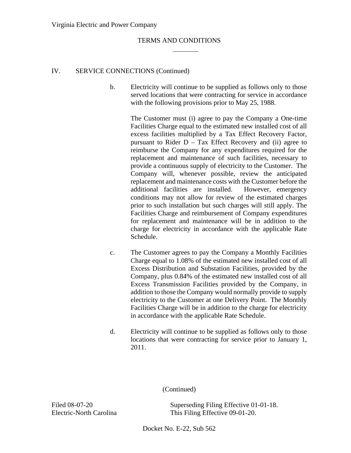#### IV. SERVICE CONNECTIONS (Continued)

b. Electricity will continue to be supplied as follows only to those served locations that were contracting for service in accordance with the following provisions prior to May 25, 1988.

> The Customer must (i) agree to pay the Company a One-time Facilities Charge equal to the estimated new installed cost of all excess facilities multiplied by a Tax Effect Recovery Factor, pursuant to Rider  $D - Tax$  Effect Recovery and (ii) agree to reimburse the Company for any expenditures required for the replacement and maintenance of such facilities, necessary to provide a continuous supply of electricity to the Customer. The Company will, whenever possible, review the anticipated replacement and maintenance costs with the Customer before the additional facilities are installed. However, emergency conditions may not allow for review of the estimated charges prior to such installation but such charges will still apply. The Facilities Charge and reimbursement of Company expenditures for replacement and maintenance will be in addition to the charge for electricity in accordance with the applicable Rate Schedule.

- c. The Customer agrees to pay the Company a Monthly Facilities Charge equal to 1.08% of the estimated new installed cost of all Excess Distribution and Substation Facilities, provided by the Company, plus 0.84% of the estimated new installed cost of all Excess Transmission Facilities provided by the Company, in addition to those the Company would normally provide to supply electricity to the Customer at one Delivery Point. The Monthly Facilities Charge will be in addition to the charge for electricity in accordance with the applicable Rate Schedule.
- d. Electricity will continue to be supplied as follows only to those locations that were contracting for service prior to January 1, 2011.

(Continued)

Filed 08-07-20 Superseding Filing Effective 01-01-18. Electric-North Carolina This Filing Effective 09-01-20.